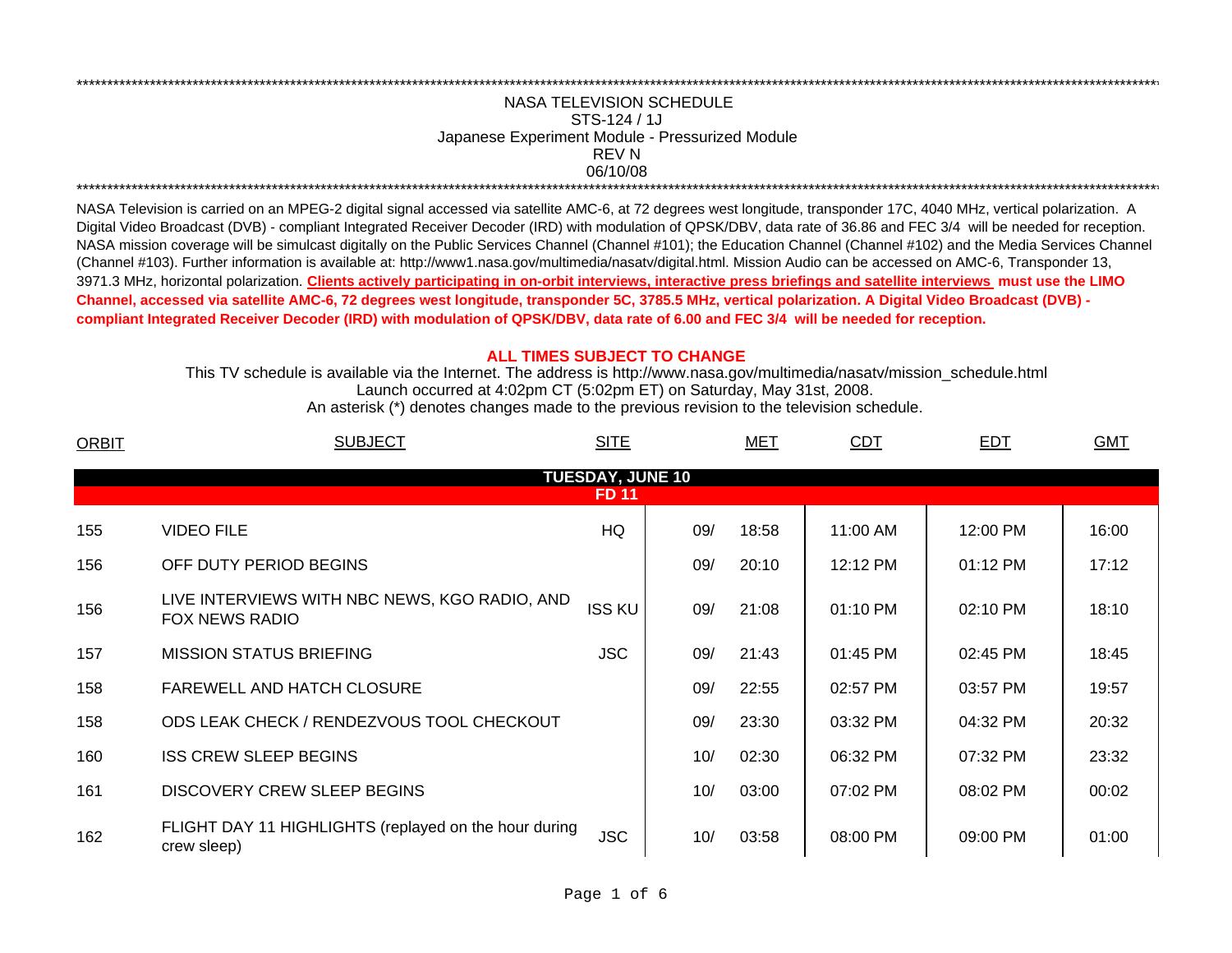## 06/10/08 \*\*\*\*\*\*\*\*\*\*\*\*\*\*\*\*\*\*\*\*\*\*\*\*\*\*\*\*\*\*\*\*\*\*\*\*\*\*\*\*\*\*\*\*\*\*\*\*\*\*\*\*\*\*\*\*\*\*\*\*\*\*\*\*\*\*\*\*\*\*\*\*\*\*\*\*\*\*\*\*\*\*\*\*\*\*\*\*\*\*\*\*\*\*\*\*\*\*\*\*\*\*\*\*\*\*\*\*\*\*\*\*\*\*\*\*\*\*\*\*\*\*\*\*\*\*\*\*\*\*\*\*\*\*\*\*\*\*\*\*\*\*\*\*\*\*\*\*\*\*\*\*\*\*\*\*\*\*\*\*\*\*\*\*\*\*\*\*\*\*\*\*\*\*\*\*\*\*REV NNASA TELEVISION SCHEDULESTS-124 / 1JJapanese Experiment Module - Pressurized Module

\*\*\*\*\*\*\*\*\*\*\*\*\*\*\*\*\*\*\*\*\*\*\*\*\*\*\*\*\*\*\*\*\*\*\*\*\*\*\*\*\*\*\*\*\*\*\*\*\*\*\*\*\*\*\*\*\*\*\*\*\*\*\*\*\*\*\*\*\*\*\*\*\*\*\*\*\*\*\*\*\*\*\*\*\*\*\*\*\*\*\*\*\*\*\*\*\*\*\*\*\*\*\*\*\*\*\*\*\*\*\*\*\*\*\*\*\*\*\*\*\*\*\*\*\*\*\*\*\*\*\*\*\*\*\*\*\*\*\*\*\*\*\*\*\*\*\*\*\*\*\*\*\*\*\*\*\*\*\*\*\*\*\*\*\*\*\*\*\*\*\*\*\*\*\*\*\*\*

NASA Television is carried on an MPEG-2 digital signal accessed via satellite AMC-6, at 72 degrees west longitude, transponder 17C, 4040 MHz, vertical polarization. A Digital Video Broadcast (DVB) - compliant Integrated Receiver Decoder (IRD) with modulation of QPSK/DBV, data rate of 36.86 and FEC 3/4 will be needed for reception. NASA mission coverage will be simulcast digitally on the Public Services Channel (Channel #101); the Education Channel (Channel #102) and the Media Services Channel (Channel #103). Further information is available at: http://www1.nasa.gov/multimedia/nasatv/digital.html. Mission Audio can be accessed on AMC-6, Transponder 13, 3971.3 MHz, horizontal polarization. **Clients actively participating in on-orbit interviews, interactive press briefings and satellite interviews must use the LIMO Channel, accessed via satellite AMC-6, 72 degrees west longitude, transponder 5C, 3785.5 MHz, vertical polarization. A Digital Video Broadcast (DVB) compliant Integrated Receiver Decoder (IRD) with modulation of QPSK/DBV, data rate of 6.00 and FEC 3/4 will be needed for reception.**

## **ALL TIMES SUBJECT TO CHANGE**

Launch occurred at 4:02pm CT (5:02pm ET) on Saturday, May 31st, 2008. This TV schedule is available via the Internet. The address is http://www.nasa.gov/multimedia/nasatv/mission\_schedule.html

An asterisk (\*) denotes changes made to the previous revision to the television schedule.

| <b>ORBIT</b>                            | <b>SUBJECT</b>                                                         | <b>SITE</b>   |     | <b>MET</b> | <b>CDT</b> | <b>EDT</b> | <b>GMT</b> |  |  |  |  |
|-----------------------------------------|------------------------------------------------------------------------|---------------|-----|------------|------------|------------|------------|--|--|--|--|
| <b>TUESDAY, JUNE 10</b><br><b>FD 11</b> |                                                                        |               |     |            |            |            |            |  |  |  |  |
|                                         |                                                                        |               |     |            |            |            |            |  |  |  |  |
| 155                                     | <b>VIDEO FILE</b>                                                      | HQ            | 09/ | 18:58      | 11:00 AM   | 12:00 PM   | 16:00      |  |  |  |  |
| 156                                     | OFF DUTY PERIOD BEGINS                                                 |               | 09/ | 20:10      | 12:12 PM   | 01:12 PM   | 17:12      |  |  |  |  |
| 156                                     | LIVE INTERVIEWS WITH NBC NEWS, KGO RADIO, AND<br><b>FOX NEWS RADIO</b> | <b>ISS KU</b> | 09/ | 21:08      | $01:10$ PM | 02:10 PM   | 18:10      |  |  |  |  |
| 157                                     | <b>MISSION STATUS BRIEFING</b>                                         | <b>JSC</b>    | 09/ | 21:43      | 01:45 PM   | 02:45 PM   | 18:45      |  |  |  |  |
| 158                                     | <b>FAREWELL AND HATCH CLOSURE</b>                                      |               | 09/ | 22:55      | 02:57 PM   | 03:57 PM   | 19:57      |  |  |  |  |
| 158                                     | ODS LEAK CHECK / RENDEZVOUS TOOL CHECKOUT                              |               | 09/ | 23:30      | 03:32 PM   | 04:32 PM   | 20:32      |  |  |  |  |
| 160                                     | <b>ISS CREW SLEEP BEGINS</b>                                           |               | 10/ | 02:30      | 06:32 PM   | 07:32 PM   | 23:32      |  |  |  |  |
| 161                                     | DISCOVERY CREW SLEEP BEGINS                                            |               | 10/ | 03:00      | 07:02 PM   | 08:02 PM   | 00:02      |  |  |  |  |
| 162                                     | FLIGHT DAY 11 HIGHLIGHTS (replayed on the hour during<br>crew sleep)   | <b>JSC</b>    | 10/ | 03:58      | 08:00 PM   | 09:00 PM   | 01:00      |  |  |  |  |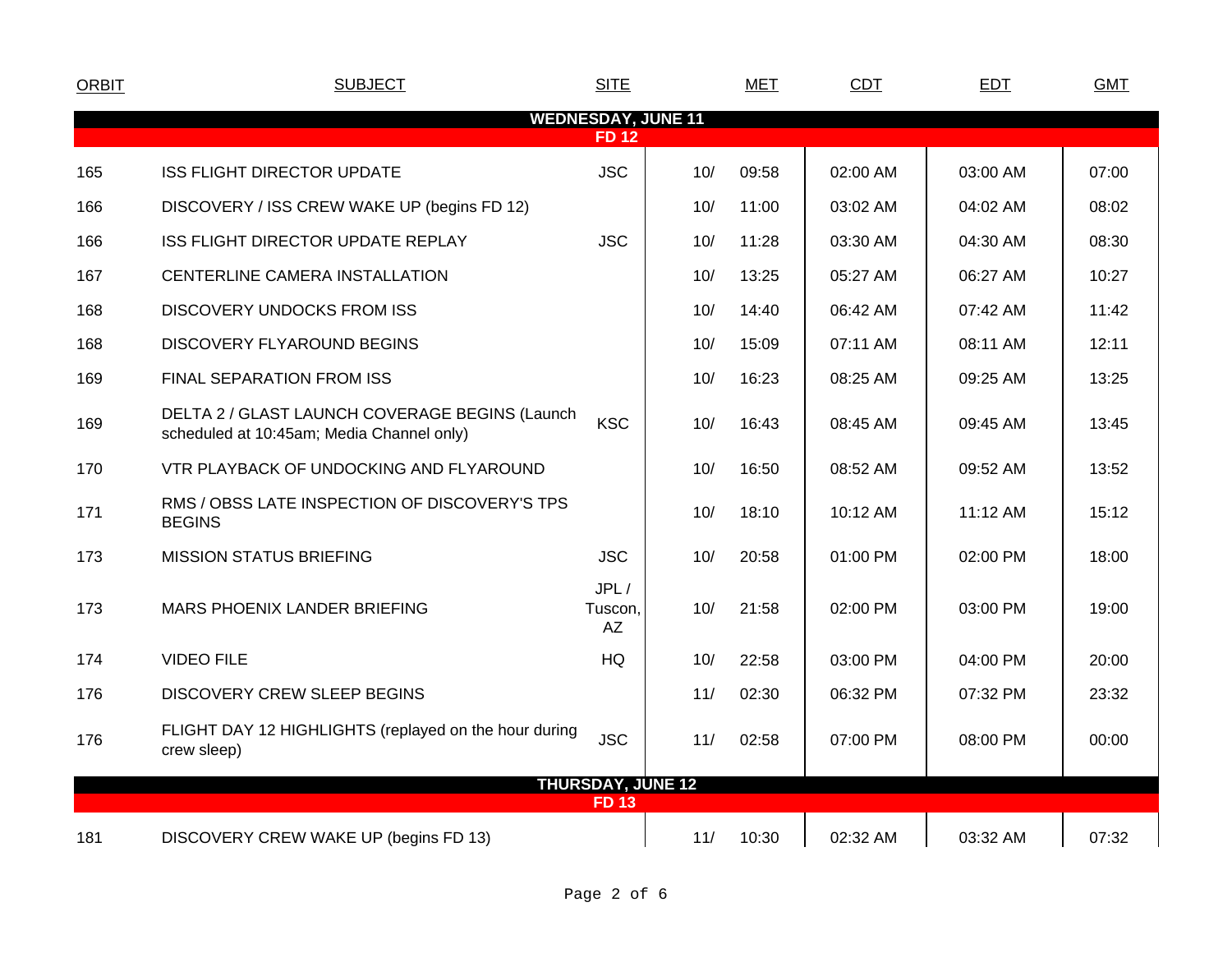| <b>ORBIT</b>                              | <b>SUBJECT</b>                                                                              | <b>SITE</b>           |     | MET   | CDT      | EDT      | <b>GMT</b> |  |  |
|-------------------------------------------|---------------------------------------------------------------------------------------------|-----------------------|-----|-------|----------|----------|------------|--|--|
| <b>WEDNESDAY, JUNE 11</b><br><b>FD 12</b> |                                                                                             |                       |     |       |          |          |            |  |  |
|                                           | <b>ISS FLIGHT DIRECTOR UPDATE</b>                                                           | <b>JSC</b>            | 10/ | 09:58 | 02:00 AM | 03:00 AM | 07:00      |  |  |
| 165                                       |                                                                                             |                       |     |       |          |          |            |  |  |
| 166                                       | DISCOVERY / ISS CREW WAKE UP (begins FD 12)                                                 |                       | 10/ | 11:00 | 03:02 AM | 04:02 AM | 08:02      |  |  |
| 166                                       | ISS FLIGHT DIRECTOR UPDATE REPLAY                                                           | <b>JSC</b>            | 10/ | 11:28 | 03:30 AM | 04:30 AM | 08:30      |  |  |
| 167                                       | CENTERLINE CAMERA INSTALLATION                                                              |                       | 10/ | 13:25 | 05:27 AM | 06:27 AM | 10:27      |  |  |
| 168                                       | <b>DISCOVERY UNDOCKS FROM ISS</b>                                                           |                       | 10/ | 14:40 | 06:42 AM | 07:42 AM | 11:42      |  |  |
| 168                                       | <b>DISCOVERY FLYAROUND BEGINS</b>                                                           |                       | 10/ | 15:09 | 07:11 AM | 08:11 AM | 12:11      |  |  |
| 169                                       | FINAL SEPARATION FROM ISS                                                                   |                       | 10/ | 16:23 | 08:25 AM | 09:25 AM | 13:25      |  |  |
| 169                                       | DELTA 2 / GLAST LAUNCH COVERAGE BEGINS (Launch<br>scheduled at 10:45am; Media Channel only) | <b>KSC</b>            | 10/ | 16:43 | 08:45 AM | 09:45 AM | 13:45      |  |  |
| 170                                       | VTR PLAYBACK OF UNDOCKING AND FLYAROUND                                                     |                       | 10/ | 16:50 | 08:52 AM | 09:52 AM | 13:52      |  |  |
| 171                                       | RMS / OBSS LATE INSPECTION OF DISCOVERY'S TPS<br><b>BEGINS</b>                              |                       | 10/ | 18:10 | 10:12 AM | 11:12 AM | 15:12      |  |  |
| 173                                       | <b>MISSION STATUS BRIEFING</b>                                                              | <b>JSC</b>            | 10/ | 20:58 | 01:00 PM | 02:00 PM | 18:00      |  |  |
| 173                                       | MARS PHOENIX LANDER BRIEFING                                                                | JPL/<br>Tuscon,<br>AZ | 10/ | 21:58 | 02:00 PM | 03:00 PM | 19:00      |  |  |
| 174                                       | <b>VIDEO FILE</b>                                                                           | <b>HQ</b>             | 10/ | 22:58 | 03:00 PM | 04:00 PM | 20:00      |  |  |
| 176                                       | DISCOVERY CREW SLEEP BEGINS                                                                 |                       | 11/ | 02:30 | 06:32 PM | 07:32 PM | 23:32      |  |  |
| 176                                       | FLIGHT DAY 12 HIGHLIGHTS (replayed on the hour during<br>crew sleep)                        | <b>JSC</b>            | 11/ | 02:58 | 07:00 PM | 08:00 PM | 00:00      |  |  |
| <b>THURSDAY, JUNE 12</b>                  |                                                                                             |                       |     |       |          |          |            |  |  |
| <b>FD 13</b>                              |                                                                                             |                       |     |       |          |          |            |  |  |
| 181                                       | DISCOVERY CREW WAKE UP (begins FD 13)                                                       |                       | 11/ | 10:30 | 02:32 AM | 03:32 AM | 07:32      |  |  |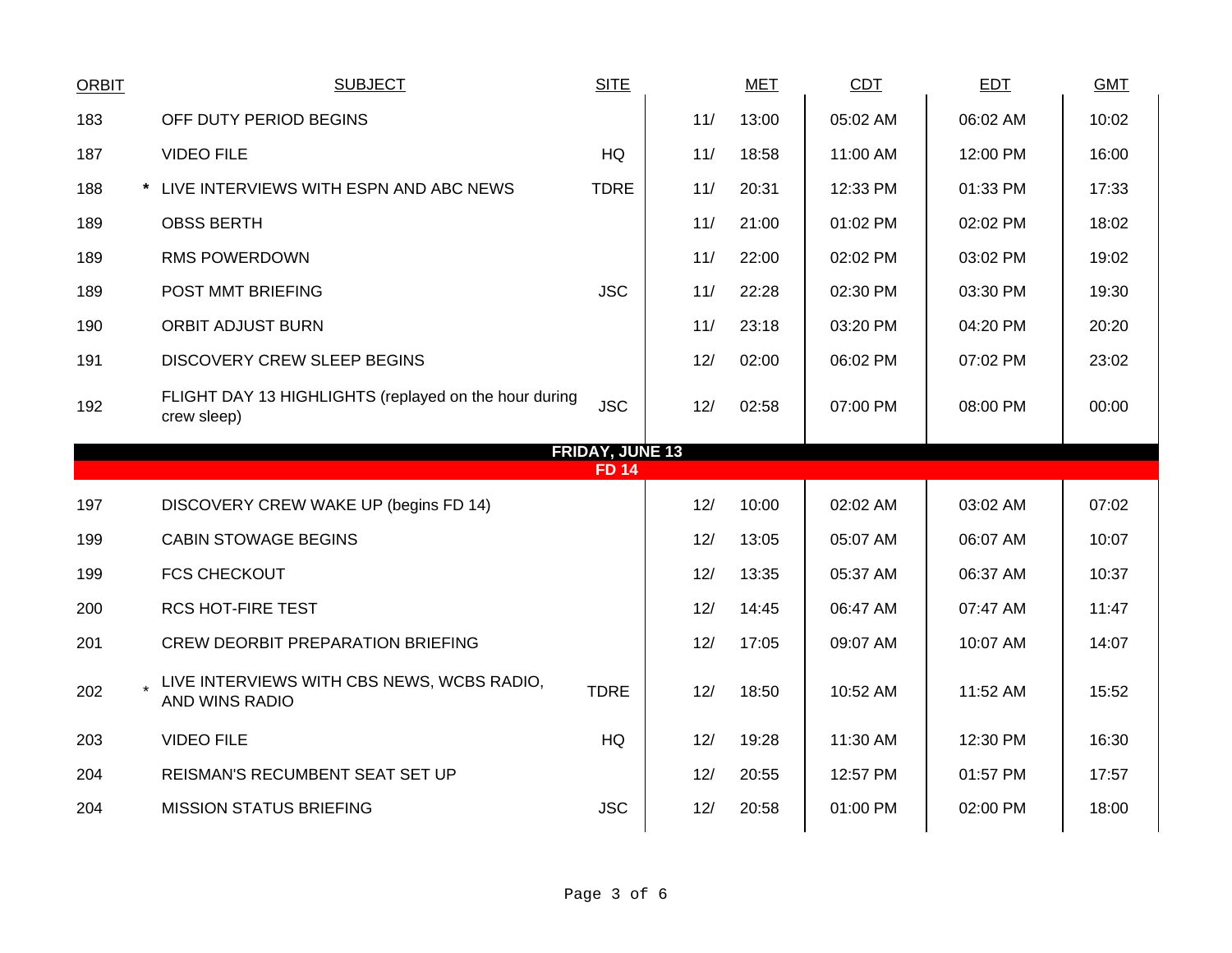| <b>ORBIT</b>           | <b>SUBJECT</b>                                                       | <b>SITE</b>  |     | <b>MET</b> | <b>CDT</b> | <b>EDT</b> | <b>GMT</b> |  |  |  |  |
|------------------------|----------------------------------------------------------------------|--------------|-----|------------|------------|------------|------------|--|--|--|--|
| 183                    | OFF DUTY PERIOD BEGINS                                               |              | 11/ | 13:00      | 05:02 AM   | 06:02 AM   | 10:02      |  |  |  |  |
| 187                    | <b>VIDEO FILE</b>                                                    | <b>HQ</b>    | 11/ | 18:58      | 11:00 AM   | 12:00 PM   | 16:00      |  |  |  |  |
| 188                    | * LIVE INTERVIEWS WITH ESPN AND ABC NEWS                             | <b>TDRE</b>  | 11/ | 20:31      | 12:33 PM   | 01:33 PM   | 17:33      |  |  |  |  |
| 189                    | <b>OBSS BERTH</b>                                                    |              | 11/ | 21:00      | 01:02 PM   | 02:02 PM   | 18:02      |  |  |  |  |
| 189                    | <b>RMS POWERDOWN</b>                                                 |              | 11/ | 22:00      | 02:02 PM   | 03:02 PM   | 19:02      |  |  |  |  |
| 189                    | POST MMT BRIEFING                                                    | <b>JSC</b>   | 11/ | 22:28      | 02:30 PM   | 03:30 PM   | 19:30      |  |  |  |  |
| 190                    | <b>ORBIT ADJUST BURN</b>                                             |              | 11/ | 23:18      | 03:20 PM   | 04:20 PM   | 20:20      |  |  |  |  |
| 191                    | <b>DISCOVERY CREW SLEEP BEGINS</b>                                   |              | 12/ | 02:00      | 06:02 PM   | 07:02 PM   | 23:02      |  |  |  |  |
| 192                    | FLIGHT DAY 13 HIGHLIGHTS (replayed on the hour during<br>crew sleep) | <b>JSC</b>   | 12/ | 02:58      | 07:00 PM   | 08:00 PM   | 00:00      |  |  |  |  |
| <b>FRIDAY, JUNE 13</b> |                                                                      |              |     |            |            |            |            |  |  |  |  |
|                        |                                                                      |              |     |            |            |            |            |  |  |  |  |
|                        |                                                                      | <b>FD 14</b> |     |            |            |            |            |  |  |  |  |
| 197                    | DISCOVERY CREW WAKE UP (begins FD 14)                                |              | 12/ | 10:00      | 02:02 AM   | 03:02 AM   | 07:02      |  |  |  |  |
| 199                    | <b>CABIN STOWAGE BEGINS</b>                                          |              | 12/ | 13:05      | 05:07 AM   | 06:07 AM   | 10:07      |  |  |  |  |
| 199                    | <b>FCS CHECKOUT</b>                                                  |              | 12/ | 13:35      | 05:37 AM   | 06:37 AM   | 10:37      |  |  |  |  |
| 200                    | <b>RCS HOT-FIRE TEST</b>                                             |              | 12/ | 14:45      | 06:47 AM   | 07:47 AM   | 11:47      |  |  |  |  |
| 201                    | <b>CREW DEORBIT PREPARATION BRIEFING</b>                             |              | 12/ | 17:05      | 09:07 AM   | 10:07 AM   | 14:07      |  |  |  |  |
| 202                    | LIVE INTERVIEWS WITH CBS NEWS, WCBS RADIO,<br>AND WINS RADIO         | <b>TDRE</b>  | 12/ | 18:50      | 10:52 AM   | 11:52 AM   | 15:52      |  |  |  |  |
| 203                    | <b>VIDEO FILE</b>                                                    | HQ           | 12/ | 19:28      | 11:30 AM   | 12:30 PM   | 16:30      |  |  |  |  |
| 204                    | REISMAN'S RECUMBENT SEAT SET UP                                      |              | 12/ | 20:55      | 12:57 PM   | 01:57 PM   | 17:57      |  |  |  |  |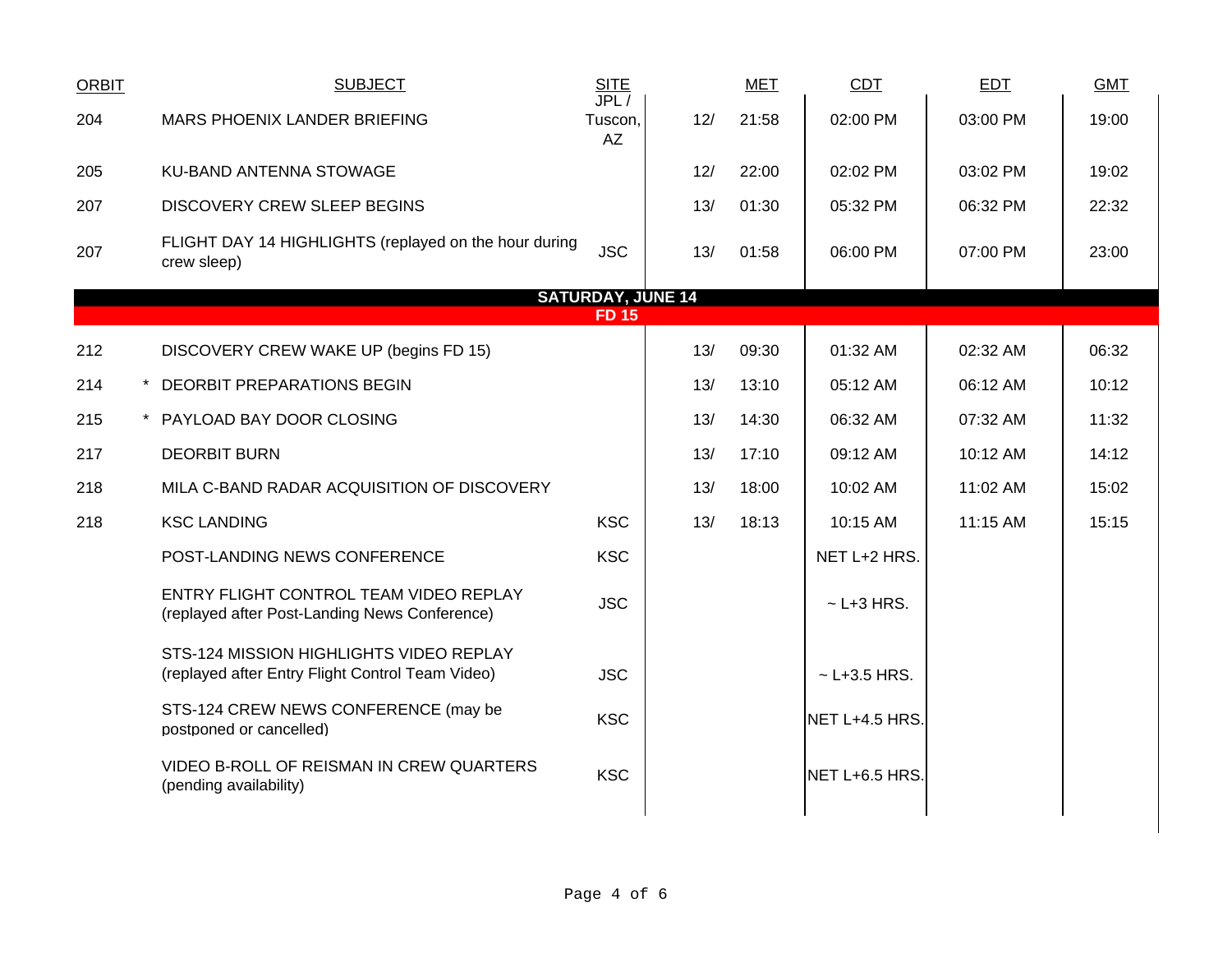| <b>ORBIT</b> | <b>SUBJECT</b>                                                                              | <b>SITE</b><br>JPL/      |     | <b>MET</b> | CDT              | <b>EDT</b> | <b>GMT</b> |
|--------------|---------------------------------------------------------------------------------------------|--------------------------|-----|------------|------------------|------------|------------|
| 204          | MARS PHOENIX LANDER BRIEFING                                                                | Tuscon,<br>AZ            | 12/ | 21:58      | 02:00 PM         | 03:00 PM   | 19:00      |
| 205          | KU-BAND ANTENNA STOWAGE                                                                     |                          | 12/ | 22:00      | 02:02 PM         | 03:02 PM   | 19:02      |
| 207          | <b>DISCOVERY CREW SLEEP BEGINS</b>                                                          |                          | 13/ | 01:30      | 05:32 PM         | 06:32 PM   | 22:32      |
| 207          | FLIGHT DAY 14 HIGHLIGHTS (replayed on the hour during<br>crew sleep)                        | <b>JSC</b>               | 13/ | 01:58      | 06:00 PM         | 07:00 PM   | 23:00      |
|              |                                                                                             | <b>SATURDAY, JUNE 14</b> |     |            |                  |            |            |
|              |                                                                                             | <b>FD 15</b>             |     |            |                  |            |            |
| 212          | DISCOVERY CREW WAKE UP (begins FD 15)                                                       |                          | 13/ | 09:30      | 01:32 AM         | 02:32 AM   | 06:32      |
| 214          | * DEORBIT PREPARATIONS BEGIN                                                                |                          | 13/ | 13:10      | 05:12 AM         | 06:12 AM   | 10:12      |
| 215          | * PAYLOAD BAY DOOR CLOSING                                                                  |                          | 13/ | 14:30      | 06:32 AM         | 07:32 AM   | 11:32      |
| 217          | <b>DEORBIT BURN</b>                                                                         |                          | 13/ | 17:10      | 09:12 AM         | 10:12 AM   | 14:12      |
| 218          | MILA C-BAND RADAR ACQUISITION OF DISCOVERY                                                  |                          | 13/ | 18:00      | 10:02 AM         | 11:02 AM   | 15:02      |
| 218          | <b>KSC LANDING</b>                                                                          | <b>KSC</b>               | 13/ | 18:13      | 10:15 AM         | 11:15 AM   | 15:15      |
|              | POST-LANDING NEWS CONFERENCE                                                                | <b>KSC</b>               |     |            | NET L+2 HRS.     |            |            |
|              | ENTRY FLIGHT CONTROL TEAM VIDEO REPLAY<br>(replayed after Post-Landing News Conference)     | <b>JSC</b>               |     |            | $~$ - L+3 HRS.   |            |            |
|              | STS-124 MISSION HIGHLIGHTS VIDEO REPLAY<br>(replayed after Entry Flight Control Team Video) | <b>JSC</b>               |     |            | $~$ - L+3.5 HRS. |            |            |
|              | STS-124 CREW NEWS CONFERENCE (may be<br>postponed or cancelled)                             | <b>KSC</b>               |     |            | NET L+4.5 HRS.   |            |            |
|              | VIDEO B-ROLL OF REISMAN IN CREW QUARTERS<br>(pending availability)                          | <b>KSC</b>               |     |            | NET L+6.5 HRS.   |            |            |
|              |                                                                                             |                          |     |            |                  |            |            |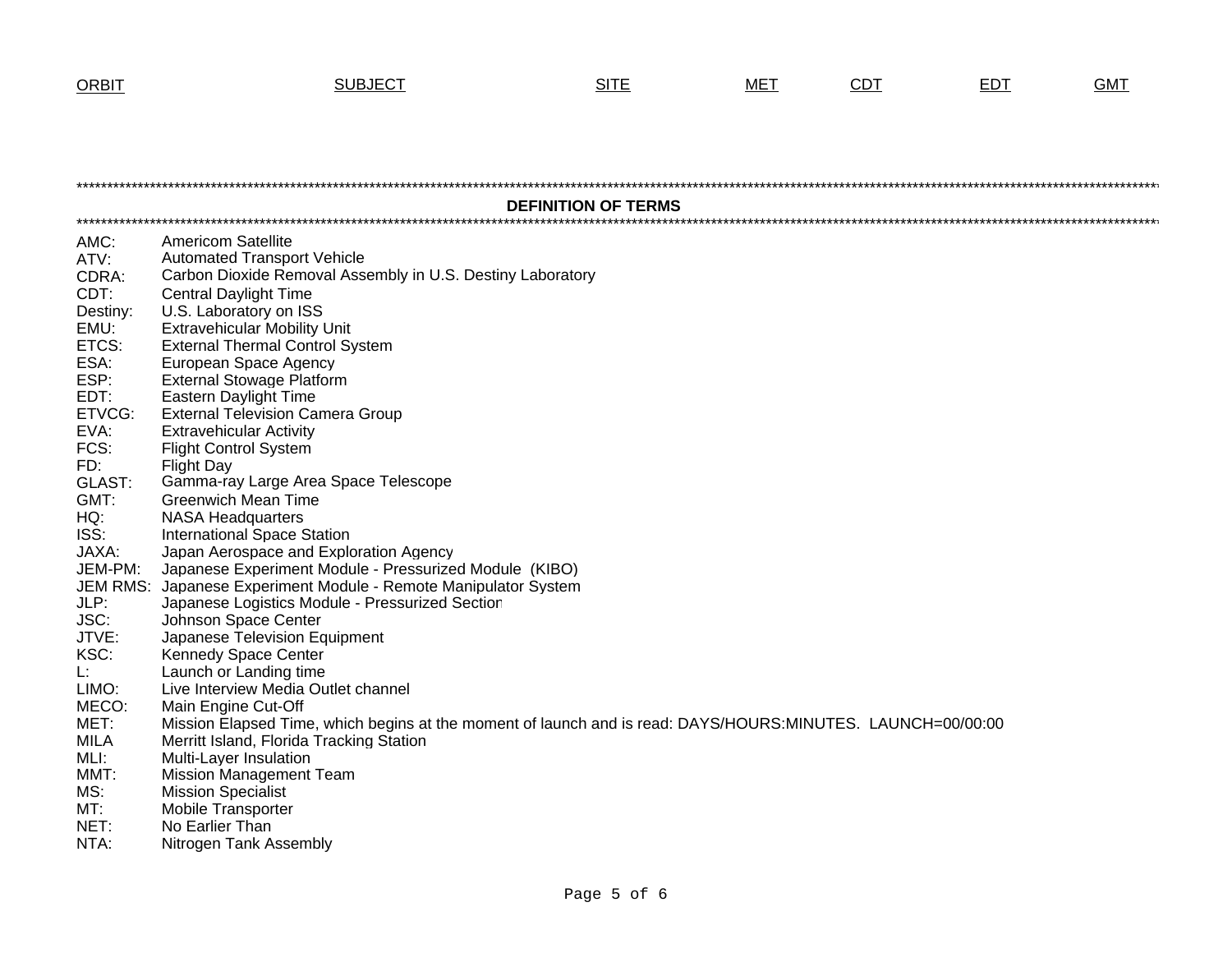**ORBIT** 

## **SUBJECT**

| <b>DEFINITION OF TERMS</b> |                                                                                                             |  |  |  |  |  |  |
|----------------------------|-------------------------------------------------------------------------------------------------------------|--|--|--|--|--|--|
|                            |                                                                                                             |  |  |  |  |  |  |
| AMC:                       | <b>Americom Satellite</b>                                                                                   |  |  |  |  |  |  |
| ATV:                       | <b>Automated Transport Vehicle</b>                                                                          |  |  |  |  |  |  |
| CDRA:                      | Carbon Dioxide Removal Assembly in U.S. Destiny Laboratory                                                  |  |  |  |  |  |  |
| CDT:                       | <b>Central Daylight Time</b>                                                                                |  |  |  |  |  |  |
| Destiny:                   | U.S. Laboratory on ISS                                                                                      |  |  |  |  |  |  |
| EMU:                       | <b>Extravehicular Mobility Unit</b>                                                                         |  |  |  |  |  |  |
| ETCS:                      | <b>External Thermal Control System</b>                                                                      |  |  |  |  |  |  |
| ESA:                       | European Space Agency                                                                                       |  |  |  |  |  |  |
| ESP:                       | <b>External Stowage Platform</b>                                                                            |  |  |  |  |  |  |
| EDT:                       | <b>Eastern Daylight Time</b>                                                                                |  |  |  |  |  |  |
| ETVCG:                     | <b>External Television Camera Group</b>                                                                     |  |  |  |  |  |  |
| EVA:                       | <b>Extravehicular Activity</b>                                                                              |  |  |  |  |  |  |
| FCS:                       | <b>Flight Control System</b>                                                                                |  |  |  |  |  |  |
| FD:                        | <b>Flight Day</b>                                                                                           |  |  |  |  |  |  |
| <b>GLAST:</b>              | Gamma-ray Large Area Space Telescope                                                                        |  |  |  |  |  |  |
| GMT:                       | <b>Greenwich Mean Time</b>                                                                                  |  |  |  |  |  |  |
| HQ:                        | <b>NASA Headquarters</b>                                                                                    |  |  |  |  |  |  |
| ISS:                       | <b>International Space Station</b>                                                                          |  |  |  |  |  |  |
| JAXA:                      | Japan Aerospace and Exploration Agency                                                                      |  |  |  |  |  |  |
| JEM-PM:                    | Japanese Experiment Module - Pressurized Module (KIBO)                                                      |  |  |  |  |  |  |
| <b>JEM RMS:</b>            | Japanese Experiment Module - Remote Manipulator System                                                      |  |  |  |  |  |  |
| JLP:                       | Japanese Logistics Module - Pressurized Section                                                             |  |  |  |  |  |  |
| JSC:                       | Johnson Space Center                                                                                        |  |  |  |  |  |  |
| JTVE:                      | Japanese Television Equipment                                                                               |  |  |  |  |  |  |
| KSC:                       | Kennedy Space Center                                                                                        |  |  |  |  |  |  |
| L:                         | Launch or Landing time                                                                                      |  |  |  |  |  |  |
| LIMO:                      | Live Interview Media Outlet channel                                                                         |  |  |  |  |  |  |
| MECO:                      | Main Engine Cut-Off                                                                                         |  |  |  |  |  |  |
| MET:                       | Mission Elapsed Time, which begins at the moment of launch and is read: DAYS/HOURS:MINUTES. LAUNCH=00/00:00 |  |  |  |  |  |  |
| <b>MILA</b>                | Merritt Island, Florida Tracking Station                                                                    |  |  |  |  |  |  |
| MLI:                       | Multi-Layer Insulation                                                                                      |  |  |  |  |  |  |
| MMT:                       | <b>Mission Management Team</b>                                                                              |  |  |  |  |  |  |
| MS:                        | <b>Mission Specialist</b>                                                                                   |  |  |  |  |  |  |
| MT:                        | <b>Mobile Transporter</b>                                                                                   |  |  |  |  |  |  |
| NET:                       | No Earlier Than                                                                                             |  |  |  |  |  |  |
| NTA:                       | Nitrogen Tank Assembly                                                                                      |  |  |  |  |  |  |

**SITE** 

**MET** 

 $CDT$ 

 $EDT$ 

**GMT**